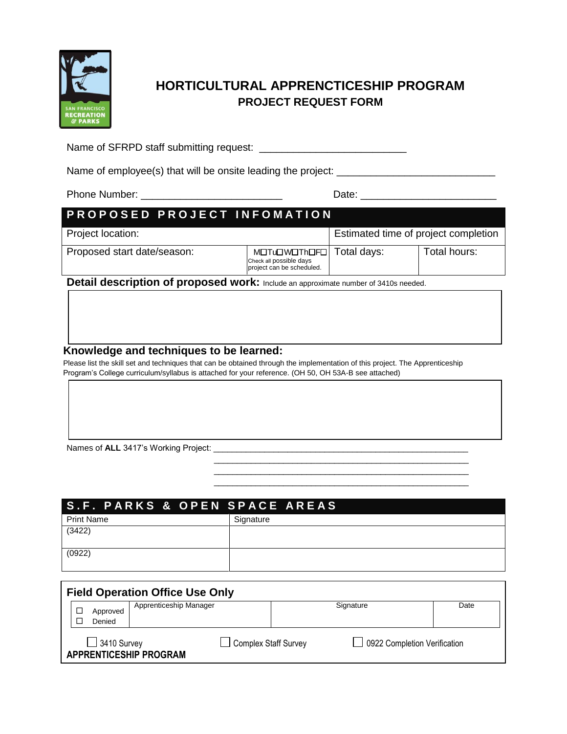

## **HORTICULTURAL APPRENCTICESHIP PROGRAM PROJECT REQUEST FORM**

Name of SFRPD staff submitting request: \_\_\_\_\_\_\_\_\_\_\_\_\_\_\_\_\_\_\_\_\_\_\_\_\_\_

Name of employee(s) that will be onsite leading the project: \_\_\_\_\_\_\_\_\_\_\_\_\_\_\_\_\_\_\_\_

Phone Number: \_\_\_\_\_\_\_\_\_\_\_\_\_\_\_\_\_\_\_\_\_\_\_\_\_ Date: \_\_\_\_\_\_\_\_\_\_\_\_\_\_\_\_\_\_\_\_\_\_\_\_

## **P R O P O S E D P R O J E C T I N F O M A T I O N**

Project location: extending the extending of project completion  $\vert$  Estimated time of project completion

Proposed start date/season:

MOTuOWOThOFO│ Total days: │ Total hours: Check all possible days project can be scheduled.

**Detail description of proposed work:** Include an approximate number of 3410s needed.

## **Knowledge and techniques to be learned:**

Please list the skill set and techniques that can be obtained through the implementation of this project. The Apprenticeship Program's College curriculum/syllabus is attached for your reference. (OH 50, OH 53A-B see attached)

Names of **ALL** 3417's Working Project: \_\_\_\_\_\_\_\_\_\_\_\_\_\_\_\_\_\_\_\_\_\_\_\_\_\_\_\_\_\_\_\_\_\_\_\_\_\_\_\_\_\_\_\_\_\_\_\_\_\_\_\_\_\_\_

| S.F. PARKS & OPEN SPACE AREAS |           |
|-------------------------------|-----------|
| <b>Print Name</b>             | Signature |
| (3422)                        |           |
| (0922)                        |           |

 $\overline{\phantom{a}}$  , and the contract of the contract of the contract of the contract of the contract of the contract of the contract of the contract of the contract of the contract of the contract of the contract of the contrac \_\_\_\_\_\_\_\_\_\_\_\_\_\_\_\_\_\_\_\_\_\_\_\_\_\_\_\_\_\_\_\_\_\_\_\_\_\_\_\_\_\_\_\_\_\_\_\_\_\_\_\_\_\_\_

| <b>Field Operation Office Use Only</b>                                |                    |                        |  |                              |  |      |  |  |
|-----------------------------------------------------------------------|--------------------|------------------------|--|------------------------------|--|------|--|--|
|                                                                       | Approved<br>Denied | Apprenticeship Manager |  | Signature                    |  | Date |  |  |
| $\overline{\phantom{0}}$ 3410 Survey<br><b>APPRENTICESHIP PROGRAM</b> |                    | Complex Staff Survey   |  | 0922 Completion Verification |  |      |  |  |